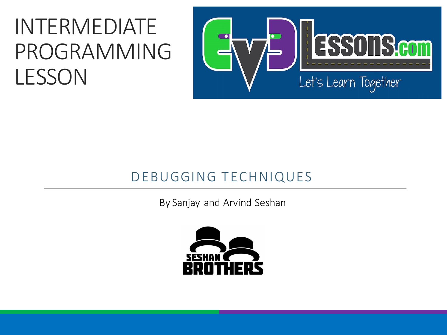#### INTERMEDIATE PROGRAMMING LESSON



#### DEBUGGING TECHNIQUES

By Sanjay and Arvind Seshan

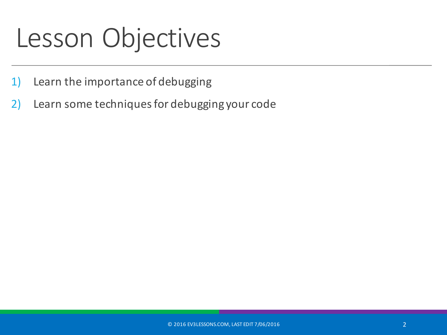### Lesson Objectives

- 1) Learn the importance of debugging
- 2) Learn some techniques for debugging your code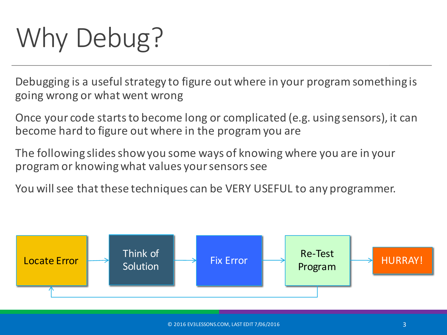# Why Debug?

Debugging is a useful strategy to figure out where in your program something is going wrong or what went wrong

Once your code starts to become long or complicated (e.g. using sensors), it can become hard to figure out where in the program you are

The following slides show you some ways of knowing where you are in your program or knowing what values your sensors see

You will see that these techniques can be VERY USEFUL to any programmer.

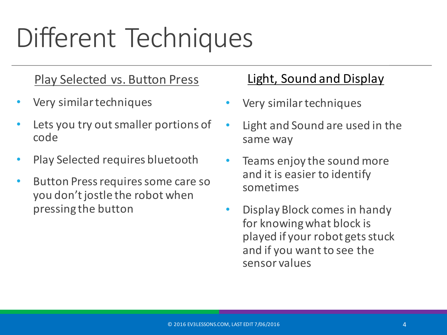## Different Techniques

#### Play Selected vs. Button Press

- Very similar techniques
- Lets you try out smaller portions of code
- Play Selected requires bluetooth
- Button Press requires some care so you don't jostle the robot when pressing the button

#### Light, Sound and Display

- Very similar techniques
- Light and Sound are used in the same way
- Teams enjoy the sound more and it is easier to identify sometimes
- Display Block comes in handy for knowing what block is played if your robot gets stuck and if you want to see the sensor values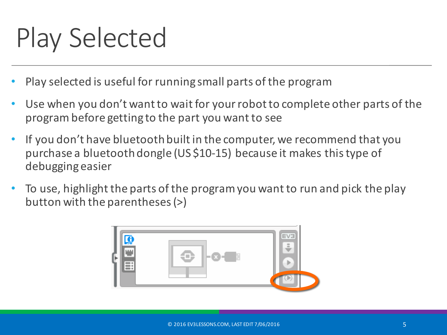## Play Selected

- Play selected is useful for running small parts of the program
- Use when you don't want to wait for your robot to complete other parts of the program before getting to the part you want to see
- If you don't have bluetooth built in the computer, we recommend that you purchase a bluetooth dongle (US \$10-15) because it makes this type of debugging easier
- To use, highlight the parts of the program you want to run and pick the play button with the parentheses (>)

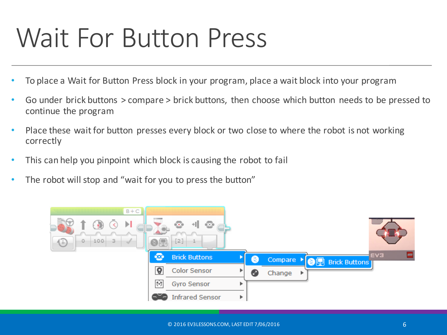### Wait For Button Press

- To place a Wait for Button Press block in your program, place a wait block into your program
- Go under brick buttons  $>$  compare  $>$  brick buttons, then choose which button needs to be pressed to continue the program
- Place these wait for button presses every block or two close to where the robot is not working correctly
- This can help you pinpoint which block is causing the robot to fail
- The robot will stop and "wait for you to press the button"

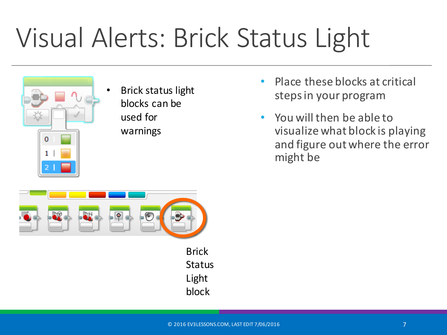## Visual Alerts: Brick Status Light



**Brick status light** blocks can be used for warnings

- Place these blocks at critical steps in your program
- You will then be able to visualize what block is playing and figure out where the error might be



Brick **Status** Light block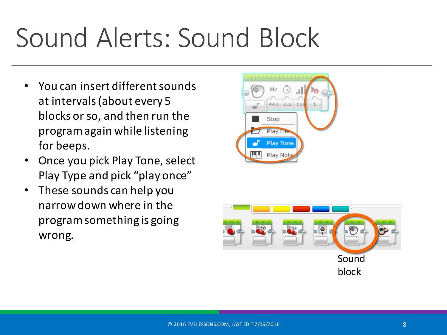## Sound Alerts: Sound Block

- You can insert different sounds at intervals (about every 5 blocks or so, and then run the program again while listening for beeps.
- Once you pick Play Tone, select Play Type and pick "play once"
- These sounds can help you narrow down where in the program something is going wrong.



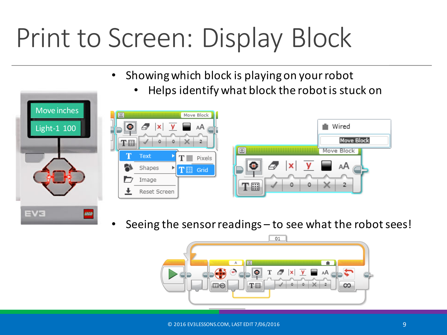## Print to Screen: Display Block

- Showing which block is playing on your robot
	- Helps identify what block the robot is stuck on



Seeing the sensor readings – to see what the robot sees!



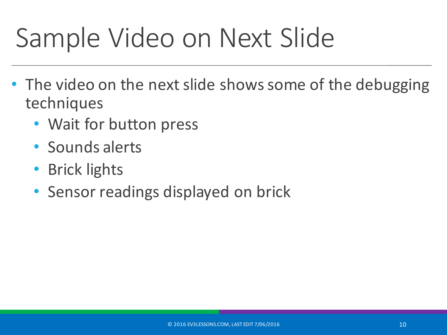## Sample Video on Next Slide

- The video on the next slide shows some of the debugging techniques
	- Wait for button press
	- Sounds alerts
	- **Brick lights**
	- Sensor readings displayed on brick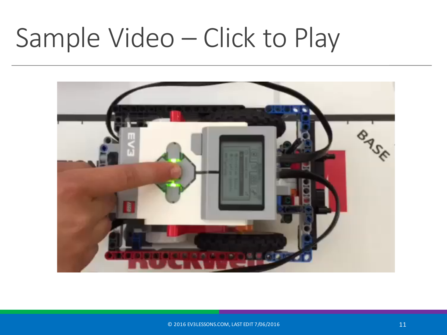### Sample Video – Click to Play

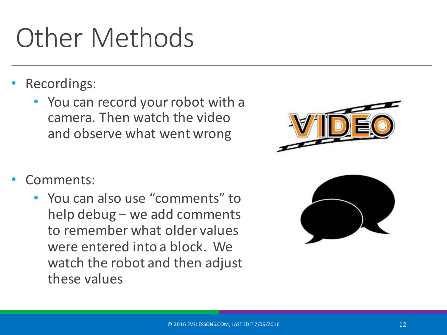## **Other Methods**

- Recordings:
	- You can record your robot with a camera. Then watch the video and observe what went wrong
- Comments:
	- You can also use "comments" to help debug  $-$  we add comments to remember what older values were entered into a block. We watch the robot and then adjust these values